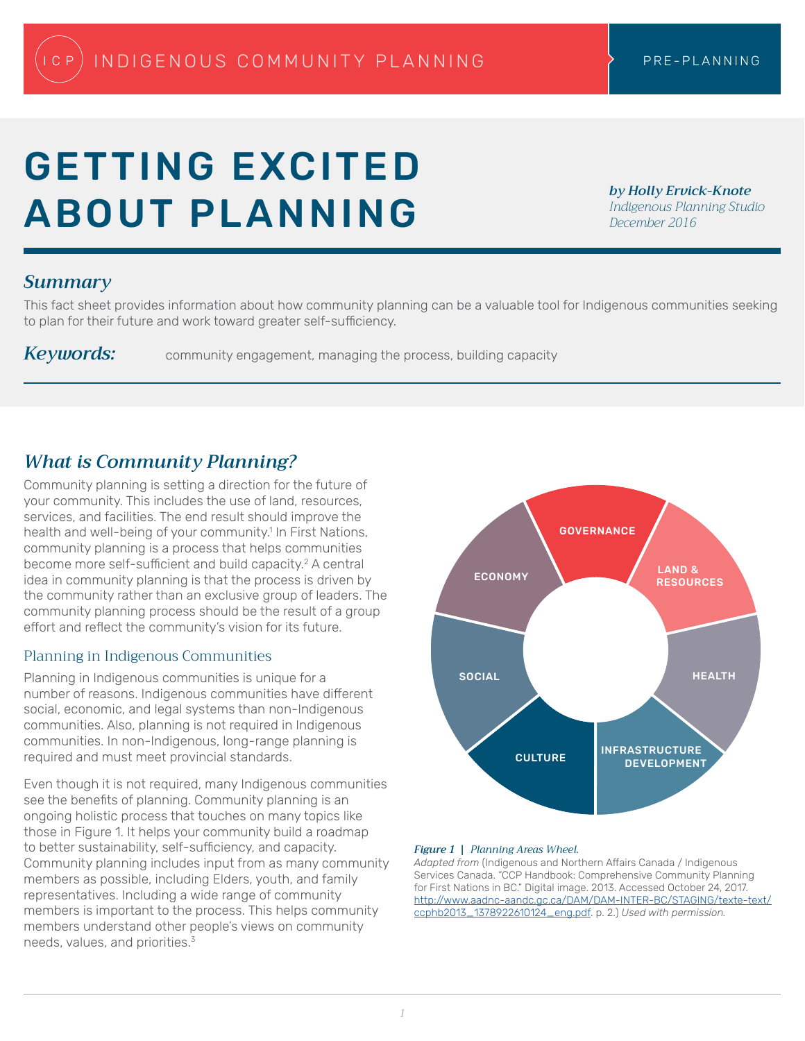# GETTING EXCITED ABOUT PLANNING

*by Holly Ervick-Knote Indigenous Planning Studio December 2016*

### *Summary*

This fact sheet provides information about how community planning can be a valuable tool for Indigenous communities seeking to plan for their future and work toward greater self-sufficiency.

*Keywords:* community engagement, managing the process, building capacity

# *What is Community Planning?*

Community planning is setting a direction for the future of your community. This includes the use of land, resources, services, and facilities. The end result should improve the health and well-being of your community.<sup>1</sup> In First Nations, community planning is a process that helps communities become more self-sufficient and build capacity.<sup>2</sup> A central idea in community planning is that the process is driven by the community rather than an exclusive group of leaders. The community planning process should be the result of a group effort and reflect the community's vision for its future.

#### Planning in Indigenous Communities

Planning in Indigenous communities is unique for a number of reasons. Indigenous communities have different social, economic, and legal systems than non-Indigenous communities. Also, planning is not required in Indigenous communities. In non-Indigenous, long-range planning is required and must meet provincial standards.

Even though it is not required, many Indigenous communities see the benefits of planning. Community planning is an ongoing holistic process that touches on many topics like those in Figure 1. It helps your community build a roadmap to better sustainability, self-sufficiency, and capacity. Community planning includes input from as many community members as possible, including Elders, youth, and family representatives. Including a wide range of community members is important to the process. This helps community members understand other people's views on community needs, values, and priorities.<sup>3</sup>



#### *Figure 1 | Planning Areas Wheel.*

*Adapted from* (Indigenous and Northern Affairs Canada / Indigenous Services Canada. "CCP Handbook: Comprehensive Community Planning for First Nations in BC." Digital image. 2013. Accessed October 24, 2017. http://www.aadnc-aandc.gc.ca/DAM/DAM-INTER-BC/STAGING/texte-text/ ccphb2013\_1378922610124\_eng.pdf. p. 2.) *Used with permission.*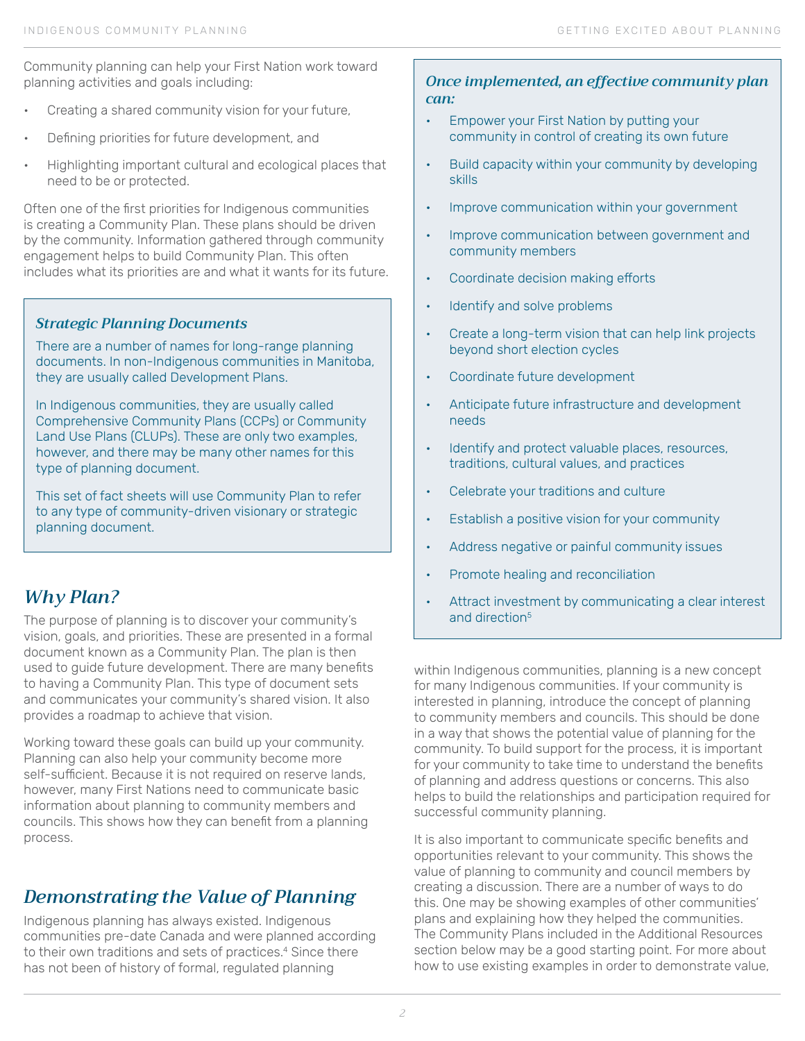Community planning can help your First Nation work toward planning activities and goals including:

- Creating a shared community vision for your future,
- Defining priorities for future development, and
- Highlighting important cultural and ecological places that need to be or protected.

Often one of the first priorities for Indigenous communities is creating a Community Plan. These plans should be driven by the community. Information gathered through community engagement helps to build Community Plan. This often includes what its priorities are and what it wants for its future.

#### *Strategic Planning Documents*

There are a number of names for long-range planning documents. In non-Indigenous communities in Manitoba, they are usually called Development Plans.

In Indigenous communities, they are usually called Comprehensive Community Plans (CCPs) or Community Land Use Plans (CLUPs). These are only two examples, however, and there may be many other names for this type of planning document.

This set of fact sheets will use Community Plan to refer to any type of community-driven visionary or strategic planning document.

## *Why Plan?*

The purpose of planning is to discover your community's vision, goals, and priorities. These are presented in a formal document known as a Community Plan. The plan is then used to guide future development. There are many benefits to having a Community Plan. This type of document sets and communicates your community's shared vision. It also provides a roadmap to achieve that vision.

Working toward these goals can build up your community. Planning can also help your community become more self-sufficient. Because it is not required on reserve lands, however, many First Nations need to communicate basic information about planning to community members and councils. This shows how they can benefit from a planning process.

## *Demonstrating the Value of Planning*

Indigenous planning has always existed. Indigenous communities pre-date Canada and were planned according to their own traditions and sets of practices.<sup>4</sup> Since there has not been of history of formal, regulated planning

#### *Once implemented, an effective community plan can:*

- Empower your First Nation by putting your community in control of creating its own future
- Build capacity within your community by developing skills
- Improve communication within your government
- Improve communication between government and community members
- Coordinate decision making efforts
- Identify and solve problems
- Create a long-term vision that can help link projects beyond short election cycles
- Coordinate future development
- Anticipate future infrastructure and development needs
- Identify and protect valuable places, resources, traditions, cultural values, and practices
- Celebrate your traditions and culture
- Establish a positive vision for your community
- Address negative or painful community issues
- Promote healing and reconciliation
- Attract investment by communicating a clear interest and direction<sup>5</sup>

within Indigenous communities, planning is a new concept for many Indigenous communities. If your community is interested in planning, introduce the concept of planning to community members and councils. This should be done in a way that shows the potential value of planning for the community. To build support for the process, it is important for your community to take time to understand the benefits of planning and address questions or concerns. This also helps to build the relationships and participation required for successful community planning.

It is also important to communicate specific benefits and opportunities relevant to your community. This shows the value of planning to community and council members by creating a discussion. There are a number of ways to do this. One may be showing examples of other communities' plans and explaining how they helped the communities. The Community Plans included in the Additional Resources section below may be a good starting point. For more about how to use existing examples in order to demonstrate value,